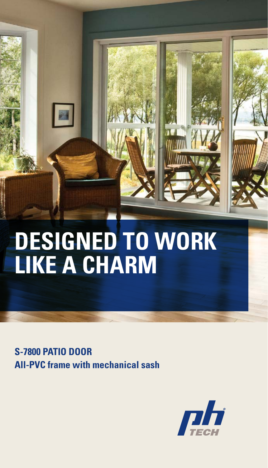# **Designed to work like a charm**

**S-7800 Patio door All-PVC frame with mechanical sash**

E

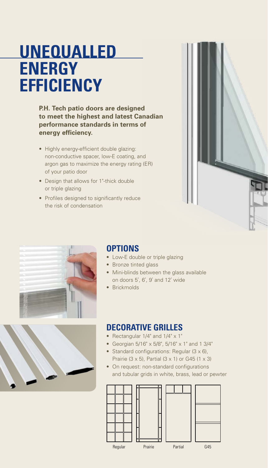### **Unequalled energy efficiency**

**P.H. Tech patio doors are designed to meet the highest and latest Canadian performance standards in terms of energy efficiency.**

- Highly energy-efficient double glazing: non-conductive spacer, low-E coating, and argon gas to maximize the energy rating (ER) of your patio door
- Design that allows for 1"-thick double or triple glazing
- Profiles designed to significantly reduce the risk of condensation





#### **Options**

- Low-E double or triple glazing
- Bronze tinted glass
- Mini-blinds between the glass available on doors 5', 6', 9' and 12' wide
- Brickmolds



#### **Decorative grilles**

- Rectangular  $1/4$ " and  $1/4$ "  $\times$  1"
- • Georgian 5/16" x 5/8", 5/16" x 1" and 1 3/4"
- Standard configurations: Regular  $(3 \times 6)$ , Prairie  $(3 \times 5)$ , Partial  $(3 \times 1)$  or G45  $(1 \times 3)$
- On request: non-standard configurations and tubular grids in white, brass, lead or pewter





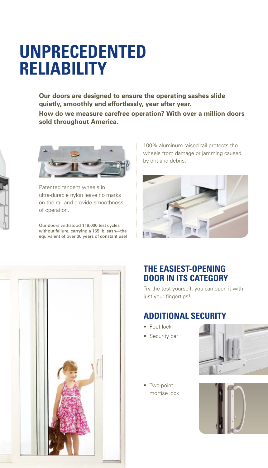### **Unprecedented reliability**

**Our doors are designed to ensure the operating sashes slide quietly, smoothly and effortlessly, year after year. How do we measure carefree operation? With over a million doors sold throughout America.** 



Patented tandem wheels in ultra-durable nylon leave no marks on the rail and provide smoothness of operation.

Our doors withstood 119,000 test cycles without failure, carrying a 165 lb. sash—the equivalent of over 30 years of constant use! 100% aluminum raised rail protects the wheels from damage or jamming caused by dirt and debris.





#### **The easiest-opening door in its category**

Try the test yourself: you can open it with just your fingertips!

#### **Additional security**

- Foot lock
- Security bar



• Two-point mortise lock

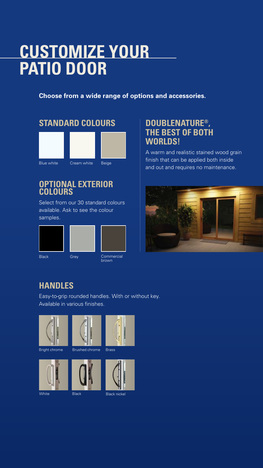### **Customize your patio door**

**Choose from a wide range of options and accessories.**

#### **Standard colours**



#### **Optional exterior colours**

Select from our 30 standard colours available. Ask to see the colour samples.





Grey Commercial brown

#### **Doublenature®, the best of both worlds!**

A warm and realistic stained wood grain finish that can be applied both inside and out and requires no maintenance.



#### **Handles**

Easy-to-grip rounded handles. With or without key. Available in various finishes.





Bright chrome Brushed chrome Brass





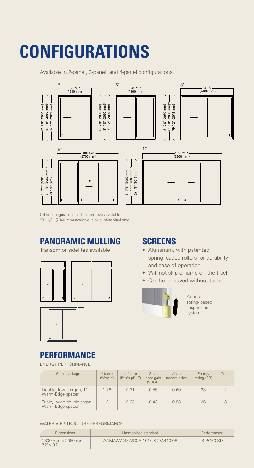# **Configurations**

Available in 2-panel, 3-panel, and 4-panel configurations.



Other configurations and custom sizes available. \*81 1/8" (2060 mm) available in blue white vinyl only.

#### **Panoramic mulling**

Transom or sidelites available.





#### **Screens**

- Aluminum, with patented spring-loaded rollers for durability and ease of operation
- Will not skip or jump off the track
- Can be removed without tools



Patented spring-loaded suspension system

#### **Performance**

Energy performance

| Glass package                                   | U-factor<br>(W/m <sup>2</sup> K) | U-factor<br>(Btu/h pi <sup>2</sup> °F) | Solar<br>heat gain<br>(SHGC) | Visual<br>transmission | Energy<br>rating (ER) | Zone |
|-------------------------------------------------|----------------------------------|----------------------------------------|------------------------------|------------------------|-----------------------|------|
| Double, low-e argon, 1",<br>Warm-Edge spacer    | 1.76                             | 0.31                                   | 0.55                         | 0.60                   | 33                    |      |
| Triple, low-e double argon,<br>Warm-Edge spacer | 1.31                             | 0.23                                   | 0.43                         | 0.53                   | 36                    |      |

Water-Air-Structure performance

| Dimensions                            | Harmonized standard             | Performance |
|---------------------------------------|---------------------------------|-------------|
| 1800 mm x 2080 mm<br>$72" \times 82"$ | AAMA/WDMA/CSA 101/1.S.2/A440-08 | R-PG60-SD   |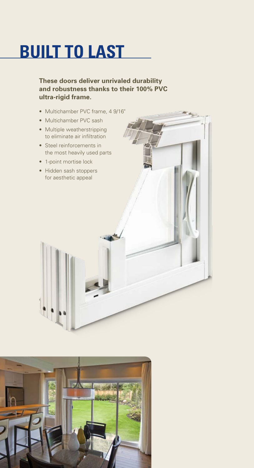# **Built to last**

#### **These doors deliver unrivaled durability and robustness thanks to their 100% PVC ultra-rigid frame.**

- Multichamber PVC frame, 4 9/16"
- Multichamber PVC sash
- Multiple weatherstripping to eliminate air infiltration
- Steel reinforcements in the most heavily used parts
- 1-point mortise lock
- Hidden sash stoppers for aesthetic appeal

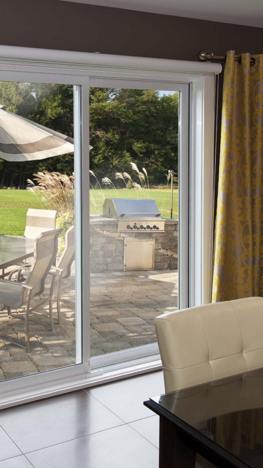